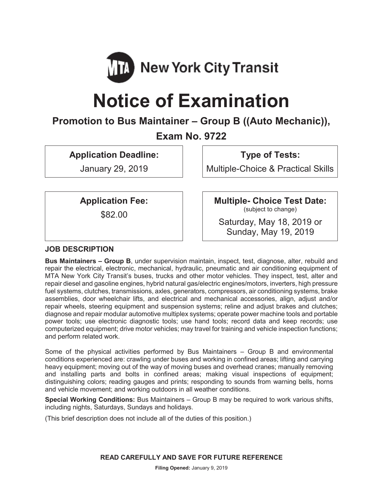

# **Notice of Examination**

# **Promotion to Bus Maintainer – Group B ((Auto Mechanic)),**

# **Exam No. 9722**

**Application Deadline:** 

January 29, 2019

**Type of Tests:** 

Multiple-Choice & Practical Skills

**Application Fee:** 

\$82.00

**Multiple- Choice Test Date:** (subject to change)

Saturday, May 18, 2019 or Sunday, May 19, 2019

# **JOB DESCRIPTION**

**Bus Maintainers – Group B**, under supervision maintain, inspect, test, diagnose, alter, rebuild and repair the electrical, electronic, mechanical, hydraulic, pneumatic and air conditioning equipment of MTA New York City Transit's buses, trucks and other motor vehicles. They inspect, test, alter and repair diesel and gasoline engines, hybrid natural gas/electric engines/motors, inverters, high pressure fuel systems, clutches, transmissions, axles, generators, compressors, air conditioning systems, brake assemblies, door wheelchair lifts, and electrical and mechanical accessories, align, adjust and/or repair wheels, steering equipment and suspension systems; reline and adjust brakes and clutches; diagnose and repair modular automotive multiplex systems; operate power machine tools and portable power tools; use electronic diagnostic tools; use hand tools; record data and keep records; use computerized equipment; drive motor vehicles; may travel for training and vehicle inspection functions; and perform related work.

Some of the physical activities performed by Bus Maintainers – Group B and environmental conditions experienced are: crawling under buses and working in confined areas; lifting and carrying heavy equipment; moving out of the way of moving buses and overhead cranes; manually removing and installing parts and bolts in confined areas; making visual inspections of equipment; distinguishing colors; reading gauges and prints; responding to sounds from warning bells, horns and vehicle movement; and working outdoors in all weather conditions.

**Special Working Conditions:** Bus Maintainers – Group B may be required to work various shifts, including nights, Saturdays, Sundays and holidays.

(This brief description does not include all of the duties of this position.)

**READ CAREFULLY AND SAVE FOR FUTURE REFERENCE**

**Filing Opened:** January 9, 2019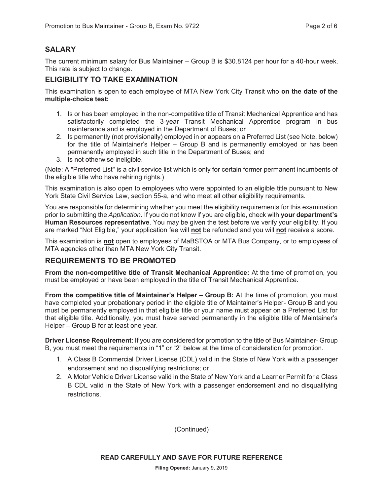# **SALARY**

The current minimum salary for Bus Maintainer – Group B is \$30.8124 per hour for a 40-hour week. This rate is subject to change.

## **ELIGIBILITY TO TAKE EXAMINATION**

This examination is open to each employee of MTA New York City Transit who **on the date of the multiple-choice test:** 

- 1. Is or has been employed in the non-competitive title of Transit Mechanical Apprentice and has satisfactorily completed the 3-year Transit Mechanical Apprentice program in bus maintenance and is employed in the Department of Buses; or
- 2. Is permanently (not provisionally) employed in or appears on a Preferred List (see Note, below) for the title of Maintainer's Helper – Group B and is permanently employed or has been permanently employed in such title in the Department of Buses; and
- 3. Is not otherwise ineligible.

(Note: A "Preferred List" is a civil service list which is only for certain former permanent incumbents of the eligible title who have rehiring rights.)

This examination is also open to employees who were appointed to an eligible title pursuant to New York State Civil Service Law, section 55-a, and who meet all other eligibility requirements.

You are responsible for determining whether you meet the eligibility requirements for this examination prior to submitting the *Application*. If you do not know if you are eligible, check with **your department's Human Resources representative**. You may be given the test before we verify your eligibility. If you are marked "Not Eligible," your application fee will **not** be refunded and you will **not** receive a score.

This examination is **not** open to employees of MaBSTOA or MTA Bus Company, or to employees of MTA agencies other than MTA New York City Transit.

# **REQUIREMENTS TO BE PROMOTED**

**From the non-competitive title of Transit Mechanical Apprentice:** At the time of promotion, you must be employed or have been employed in the title of Transit Mechanical Apprentice.

**From the competitive title of Maintainer's Helper – Group B:** At the time of promotion, you must have completed your probationary period in the eligible title of Maintainer's Helper- Group B and you must be permanently employed in that eligible title or your name must appear on a Preferred List for that eligible title. Additionally, you must have served permanently in the eligible title of Maintainer's Helper – Group B for at least one year.

**Driver License Requirement**: If you are considered for promotion to the title of Bus Maintainer- Group B, you must meet the requirements in "1" or "2" below at the time of consideration for promotion.

- 1. A Class B Commercial Driver License (CDL) valid in the State of New York with a passenger endorsement and no disqualifying restrictions; or
- 2. A Motor Vehicle Driver License valid in the State of New York and a Learner Permit for a Class B CDL valid in the State of New York with a passenger endorsement and no disqualifying restrictions.

(Continued)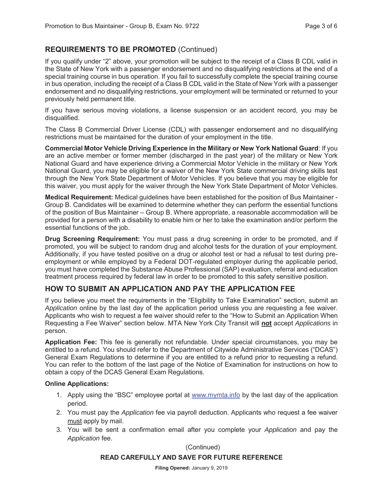# **REQUIREMENTS TO BE PROMOTED** (Continued)

If you qualify under "2" above, your promotion will be subject to the receipt of a Class B CDL valid in the State of New York with a passenger endorsement and no disqualifying restrictions at the end of a special training course in bus operation. If you fail to successfully complete the special training course in bus operation, including the receipt of a Class B CDL valid in the State of New York with a passenger endorsement and no disqualifying restrictions, your employment will be terminated or returned to your previously held permanent title.

If you have serious moving violations, a license suspension or an accident record, you may be disqualified.

The Class B Commercial Driver License (CDL) with passenger endorsement and no disqualifying restrictions must be maintained for the duration of your employment in the title.

**Commercial Motor Vehicle Driving Experience in the Military or New York National Guard**: If you are an active member or former member (discharged in the past year) of the military or New York National Guard and have experience driving a Commercial Motor Vehicle in the military or New York National Guard, you may be eligible for a waiver of the New York State commercial driving skills test through the New York State Department of Motor Vehicles. If you believe that you may be eligible for this waiver, you must apply for the waiver through the New York State Department of Motor Vehicles.

**Medical Requirement:** Medical guidelines have been established for the position of Bus Maintainer - Group B. Candidates will be examined to determine whether they can perform the essential functions of the position of Bus Maintainer – Group B. Where appropriate, a reasonable accommodation will be provided for a person with a disability to enable him or her to take the examination and/or perform the essential functions of the job.

**Drug Screening Requirement:** You must pass a drug screening in order to be promoted, and if promoted, you will be subject to random drug and alcohol tests for the duration of your employment. Additionally, if you have tested positive on a drug or alcohol test or had a refusal to test during preemployment or while employed by a Federal DOT-regulated employer during the applicable period, you must have completed the Substance Abuse Professional (SAP) evaluation, referral and education treatment process required by federal law in order to be promoted to this safety sensitive position.

# **HOW TO SUBMIT AN APPLICATION AND PAY THE APPLICATION FEE**

If you believe you meet the requirements in the "Eligibility to Take Examination" section, submit an *Application* online by the last day of the application period unless you are requesting a fee waiver. Applicants who wish to request a fee waiver should refer to the "How to Submit an Application When Requesting a Fee Waiver" section below. MTA New York City Transit will **not** accept *Applications* in person.

**Application Fee:** This fee is generally not refundable. Under special circumstances, you may be entitled to a refund. You should refer to the Department of Citywide Administrative Services ("DCAS") General Exam Regulations to determine if you are entitled to a refund prior to requesting a refund. You can refer to the bottom of the last page of the Notice of Examination for instructions on how to obtain a copy of the DCAS General Exam Regulations.

#### **Online Applications:**

- 1. Apply using the "BSC" employee portal at www.mymta.info by the last day of the application period.
- 2. You must pay the *Application* fee via payroll deduction. Applicants who request a fee waiver must apply by mail.
- 3. You will be sent a confirmation email after you complete your *Application* and pay the *Application* fee.

(Continued)

#### **READ CAREFULLY AND SAVE FOR FUTURE REFERENCE**

**Filing Opened:** January 9, 2019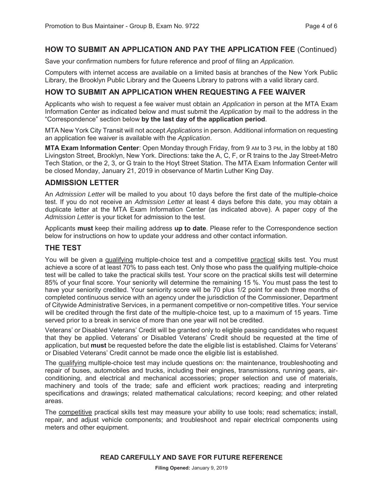### **HOW TO SUBMIT AN APPLICATION AND PAY THE APPLICATION FEE** (Continued)

Save your confirmation numbers for future reference and proof of filing an *Application.*

Computers with internet access are available on a limited basis at branches of the New York Public Library, the Brooklyn Public Library and the Queens Library to patrons with a valid library card.

# **HOW TO SUBMIT AN APPLICATION WHEN REQUESTING A FEE WAIVER**

Applicants who wish to request a fee waiver must obtain an *Application* in person at the MTA Exam Information Center as indicated below and must submit the *Application* by mail to the address in the "Correspondence" section below **by the last day of the application period**.

MTA New York City Transit will not accept *Applications* in person. Additional information on requesting an application fee waiver is available with the *Application*.

**MTA Exam Information Center**: Open Monday through Friday, from 9 AM to 3 PM, in the lobby at 180 Livingston Street, Brooklyn, New York. Directions: take the A, C, F, or R trains to the Jay Street-Metro Tech Station, or the 2, 3, or G train to the Hoyt Street Station. The MTA Exam Information Center will be closed Monday, January 21, 2019 in observance of Martin Luther King Day.

#### **ADMISSION LETTER**

An *Admission Letter* will be mailed to you about 10 days before the first date of the multiple-choice test. If you do not receive an *Admission Letter* at least 4 days before this date, you may obtain a duplicate letter at the MTA Exam Information Center (as indicated above). A paper copy of the *Admission Letter* is your ticket for admission to the test.

Applicants **must** keep their mailing address **up to date**. Please refer to the Correspondence section below for instructions on how to update your address and other contact information.

#### **THE TEST**

You will be given a qualifying multiple-choice test and a competitive practical skills test. You must achieve a score of at least 70% to pass each test. Only those who pass the qualifying multiple-choice test will be called to take the practical skills test. Your score on the practical skills test will determine 85% of your final score. Your seniority will determine the remaining 15 %. You must pass the test to have your seniority credited. Your seniority score will be 70 plus 1/2 point for each three months of completed continuous service with an agency under the jurisdiction of the Commissioner, Department of Citywide Administrative Services, in a permanent competitive or non-competitive titles. Your service will be credited through the first date of the multiple-choice test, up to a maximum of 15 years. Time served prior to a break in service of more than one year will not be credited.

Veterans' or Disabled Veterans' Credit will be granted only to eligible passing candidates who request that they be applied. Veterans' or Disabled Veterans' Credit should be requested at the time of application, but **must** be requested before the date the eligible list is established. Claims for Veterans' or Disabled Veterans' Credit cannot be made once the eligible list is established.

The qualifying multiple-choice test may include questions on: the maintenance, troubleshooting and repair of buses, automobiles and trucks, including their engines, transmissions, running gears, airconditioning, and electrical and mechanical accessories; proper selection and use of materials, machinery and tools of the trade; safe and efficient work practices; reading and interpreting specifications and drawings; related mathematical calculations; record keeping; and other related areas.

The competitive practical skills test may measure your ability to use tools; read schematics; install, repair, and adjust vehicle components; and troubleshoot and repair electrical components using meters and other equipment.

#### **READ CAREFULLY AND SAVE FOR FUTURE REFERENCE**

**Filing Opened:** January 9, 2019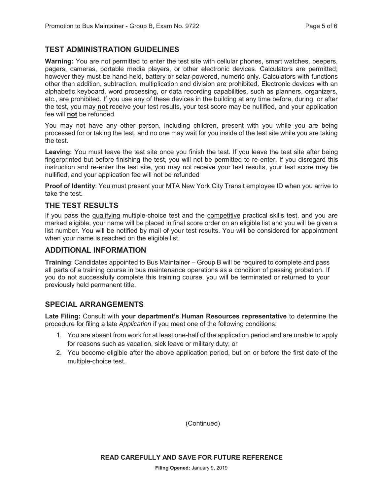## **TEST ADMINISTRATION GUIDELINES**

**Warning:** You are not permitted to enter the test site with cellular phones, smart watches, beepers, pagers, cameras, portable media players, or other electronic devices. Calculators are permitted; however they must be hand-held, battery or solar-powered, numeric only. Calculators with functions other than addition, subtraction, multiplication and division are prohibited. Electronic devices with an alphabetic keyboard, word processing, or data recording capabilities, such as planners, organizers, etc., are prohibited. If you use any of these devices in the building at any time before, during, or after the test, you may **not** receive your test results, your test score may be nullified, and your application fee will **not** be refunded.

You may not have any other person, including children, present with you while you are being processed for or taking the test, and no one may wait for you inside of the test site while you are taking the test.

**Leaving:** You must leave the test site once you finish the test. If you leave the test site after being fingerprinted but before finishing the test, you will not be permitted to re-enter. If you disregard this instruction and re-enter the test site, you may not receive your test results, your test score may be nullified, and your application fee will not be refunded

**Proof of Identity**: You must present your MTA New York City Transit employee ID when you arrive to take the test.

#### **THE TEST RESULTS**

If you pass the qualifying multiple-choice test and the competitive practical skills test, and you are marked eligible, your name will be placed in final score order on an eligible list and you will be given a list number. You will be notified by mail of your test results. You will be considered for appointment when your name is reached on the eligible list.

#### **ADDITIONAL INFORMATION**

**Training**: Candidates appointed to Bus Maintainer – Group B will be required to complete and pass all parts of a training course in bus maintenance operations as a condition of passing probation. If you do not successfully complete this training course, you will be terminated or returned to your previously held permanent title.

#### **SPECIAL ARRANGEMENTS**

**Late Filing:** Consult with **your department's Human Resources representative** to determine the procedure for filing a late *Application* if you meet one of the following conditions:

- 1. You are absent from work for at least one-half of the application period and are unable to apply for reasons such as vacation, sick leave or military duty; or
- 2. You become eligible after the above application period, but on or before the first date of the multiple-choice test.

(Continued)